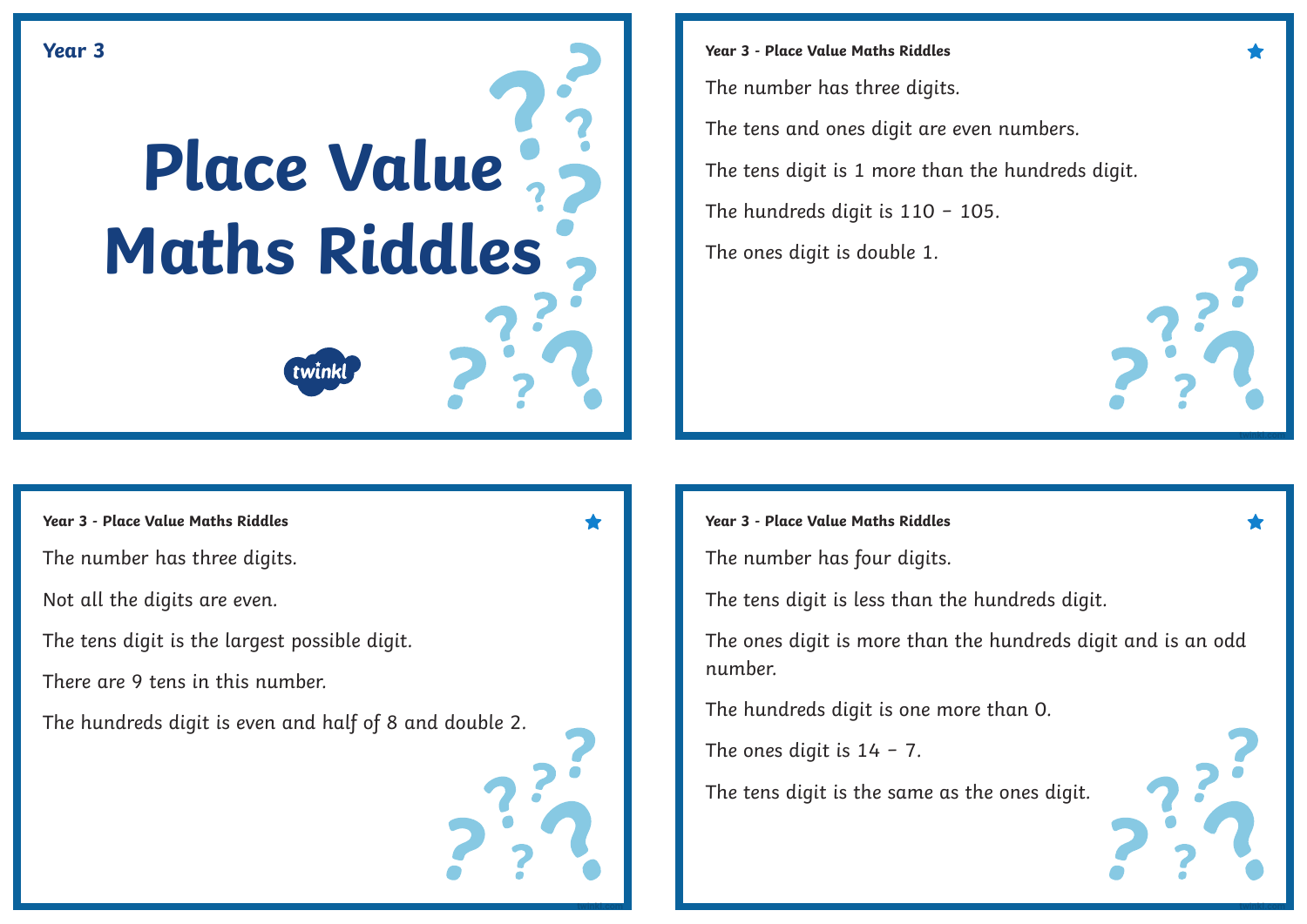

**Year 3 - Place Value Maths Riddles** The number has three digits. The tens and ones digit are even numbers. The tens digit is 1 more than the hundreds digit. The hundreds digit is 110 − 105. The ones digit is double 1.

The number has three digits.

Not all the digits are even.

The tens digit is the largest possible digit.

There are 9 tens in this number.

The hundreds digit is even and half of 8 and double 2.



## **Year 3 - Place Value Maths Riddles Year 3 - Place Value Maths Riddles**

The number has four digits.

The tens digit is less than the hundreds digit.

The ones digit is more than the hundreds digit and is an odd number.

The hundreds digit is one more than 0.

The ones digit is  $14 - 7$ .

The tens digit is the same as the ones digit.

**[twinkl.com](https://www.twinkl.com.au/resources/australian-resources-3---4-mathematics-number-and-algebra/australian-resources-3---4-mathematics-number-and-algebra-number-and-place-value/place-value-number-and-place-value-number-and-algebra-mathematics-3-4-australia) [twinkl.com](https://www.twinkl.com.au/resources/australian-resources-3---4-mathematics-number-and-algebra/australian-resources-3---4-mathematics-number-and-algebra-number-and-place-value/place-value-number-and-place-value-number-and-algebra-mathematics-3-4-australia)**

**[twinkl.com](https://www.twinkl.com.au/resources/australian-resources-3---4-mathematics-number-and-algebra/australian-resources-3---4-mathematics-number-and-algebra-number-and-place-value/place-value-number-and-place-value-number-and-algebra-mathematics-3-4-australia)**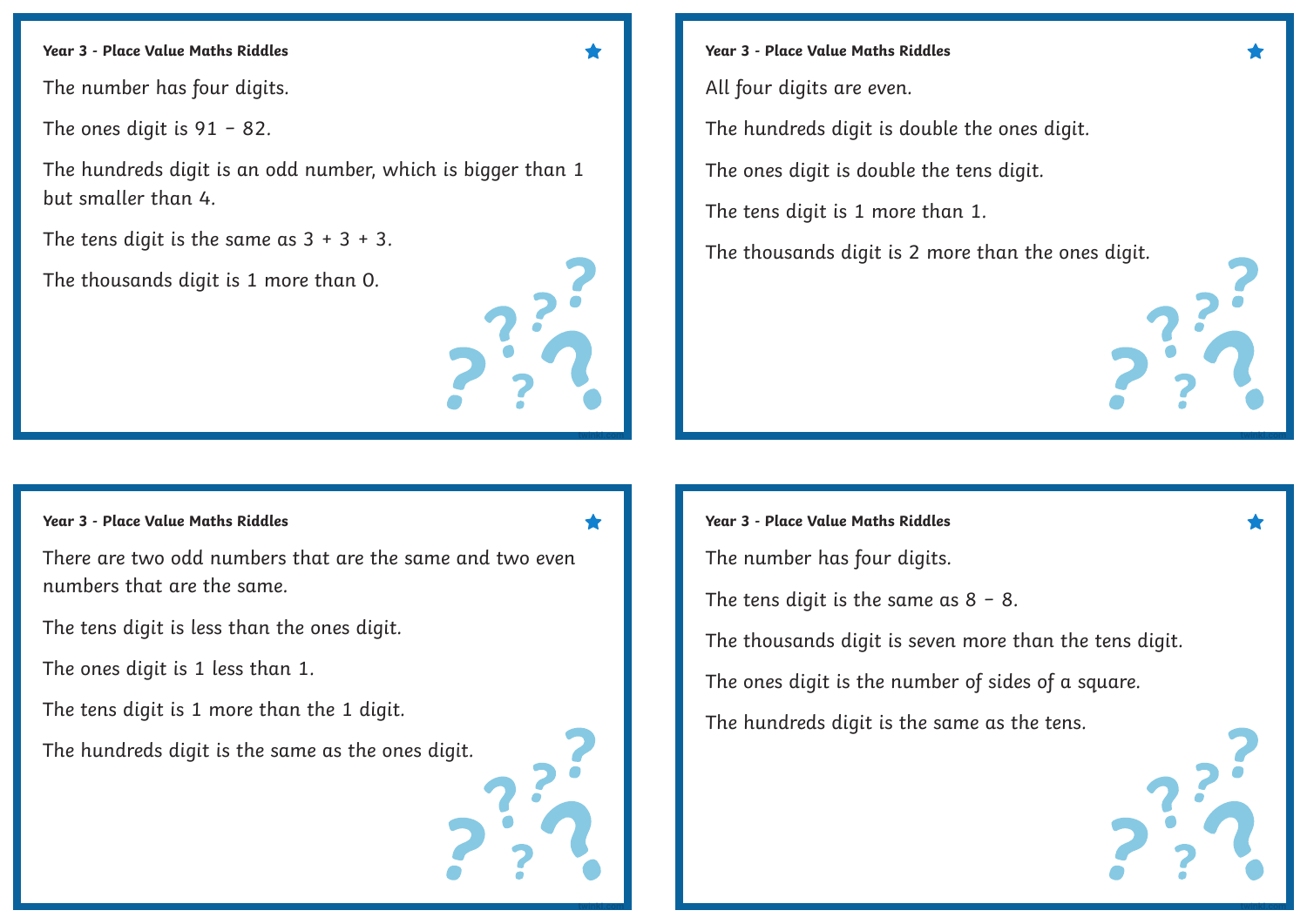## **Year 3 - Place Value Maths Riddles**

The number has four digits.

The ones digit is 91 − 82.

The hundreds digit is an odd number, which is bigger than 1 but smaller than 4.

The tens digit is the same as  $3 + 3 + 3$ .

The thousands digit is 1 more than 0.

# **[twinkl.com](https://www.twinkl.com.au/resources/australian-resources-3---4-mathematics-number-and-algebra/australian-resources-3---4-mathematics-number-and-algebra-number-and-place-value/place-value-number-and-place-value-number-and-algebra-mathematics-3-4-australia)**

**Year 3 - Place Value Maths Riddles**

All four digits are even.

The hundreds digit is double the ones digit.

The ones digit is double the tens digit.

The tens digit is 1 more than 1.

The thousands digit is 2 more than the ones digit.

## **Year 3 - Place Value Maths Riddles**

There are two odd numbers that are the same and two even numbers that are the same.

The tens digit is less than the ones digit.

The ones digit is 1 less than 1.

The tens digit is 1 more than the 1 digit.

The hundreds digit is the same as the ones digit.



**[twinkl.com](https://www.twinkl.com.au/resources/australian-resources-3---4-mathematics-number-and-algebra/australian-resources-3---4-mathematics-number-and-algebra-number-and-place-value/place-value-number-and-place-value-number-and-algebra-mathematics-3-4-australia)**

### **Year 3 - Place Value Maths Riddles**

The number has four digits.

The tens digit is the same as  $8 - 8$ .

The thousands digit is seven more than the tens digit.

**[twinkl.com](https://www.twinkl.com.au/resources/australian-resources-3---4-mathematics-number-and-algebra/australian-resources-3---4-mathematics-number-and-algebra-number-and-place-value/place-value-number-and-place-value-number-and-algebra-mathematics-3-4-australia)**

**[twinkl.com](https://www.twinkl.com.au/resources/australian-resources-3---4-mathematics-number-and-algebra/australian-resources-3---4-mathematics-number-and-algebra-number-and-place-value/place-value-number-and-place-value-number-and-algebra-mathematics-3-4-australia)**

The ones digit is the number of sides of a square.

The hundreds digit is the same as the tens.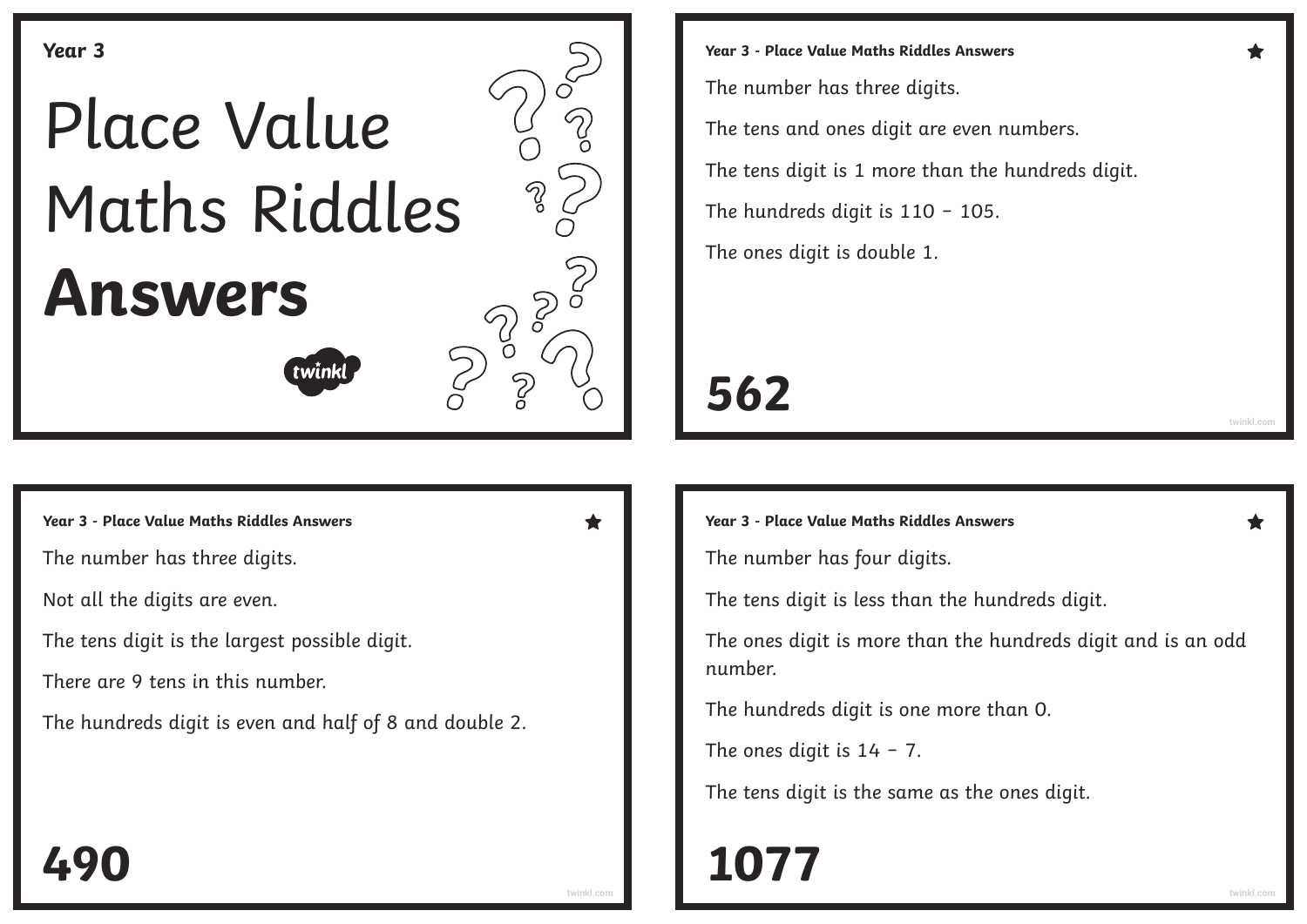

**Year 3 - Place Value Maths Riddles Answers Year 3 - Place Value Maths Riddles Answers**

The number has three digits.

Not all the digits are even.

The tens digit is the largest possible digit.

There are 9 tens in this number.

The hundreds digit is even and half of 8 and double 2.

**Year 3 - Place Value Maths Riddles Answers** The number has three digits. The tens and ones digit are even numbers. The tens digit is 1 more than the hundreds digit. The hundreds digit is 110 − 105. The ones digit is double 1.

# **562**

The number has four digits.

The tens digit is less than the hundreds digit.

The ones digit is more than the hundreds digit and is an odd number.

The hundreds digit is one more than 0.

The ones digit is 14 − 7.

The tens digit is the same as the ones digit.

# **[twinkl.com](https://www.twinkl.com.au/resources/australian-resources-3---4-mathematics-number-and-algebra/australian-resources-3---4-mathematics-number-and-algebra-number-and-place-value/place-value-number-and-place-value-number-and-algebra-mathematics-3-4-australia) [twinkl.com](https://www.twinkl.com.au/resources/australian-resources-3---4-mathematics-number-and-algebra/australian-resources-3---4-mathematics-number-and-algebra-number-and-place-value/place-value-number-and-place-value-number-and-algebra-mathematics-3-4-australia) 490 1077**

**[twinkl.com](https://www.twinkl.com.au/resources/australian-resources-3---4-mathematics-number-and-algebra/australian-resources-3---4-mathematics-number-and-algebra-number-and-place-value/place-value-number-and-place-value-number-and-algebra-mathematics-3-4-australia)**